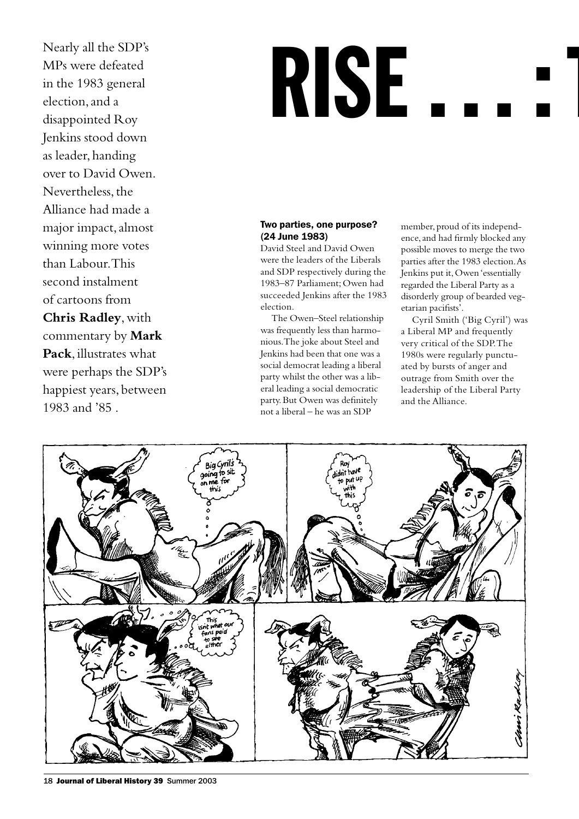Nearly all the SDP's MPs were defeated in the 1983 general election, and a disappointed Roy Jenkins stood down as leader, handing over to David Owen. Nevertheless, the Alliance had made a major impact, almost winning more votes than Labour. This second instalment of cartoons from **Chris Radley**, with commentary by **Mark Pack**, illustrates what were perhaps the SDP's happiest years, between 1983 and '85 .

# **RISE**

#### Two parties, one purpose? (24 June 1983)

David Steel and David Owen were the leaders of the Liberals and SDP respectively during the 1983–87 Parliament; Owen had succeeded Jenkins after the 1983 election.

The Owen–Steel relationship was frequently less than harmonious. The joke about Steel and Jenkins had been that one was a social democrat leading a liberal party whilst the other was a liberal leading a social democratic party. But Owen was definitely not a liberal – he was an SDP

member, proud of its independence, and had firmly blocked any possible moves to merge the two parties after the 1983 election. As Jenkins put it, Owen 'essentially regarded the Liberal Party as a disorderly group of bearded vegetarian pacifists'.

Cyril Smith ('Big Cyril') was a Liberal MP and frequently very critical of the SDP. The 1980s were regularly punctuated by bursts of anger and outrage from Smith over the leadership of the Liberal Party and the Alliance.



18 Journal of Liberal History 39 Summer 2003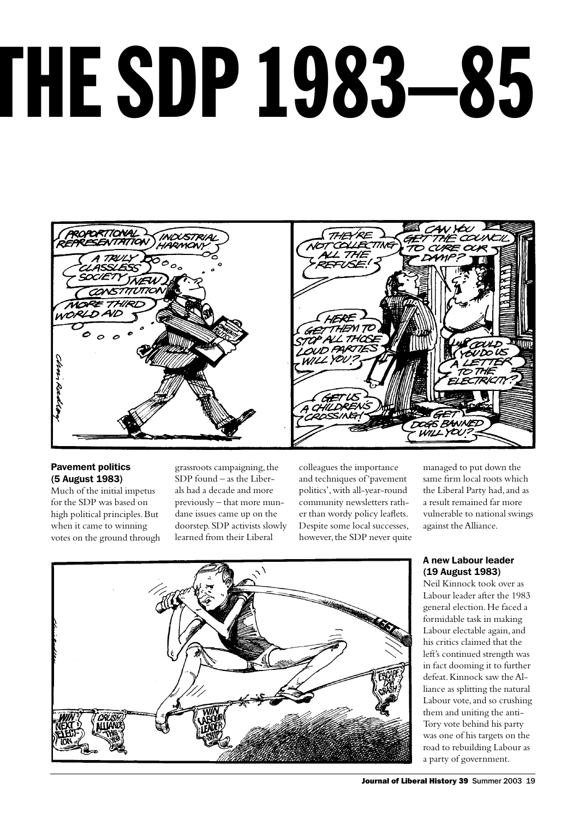# RISE … : THE SDP 1983–85



# Pavement politics (5 August 1983)

Much of the initial impetus for the SDP was based on high political principles. But when it came to winning votes on the ground through

grassroots campaigning, the SDP found – as the Liberals had a decade and more previously – that more mundane issues came up on the doorstep. SDP activists slowly learned from their Liberal

colleagues the importance and techniques of 'pavement politics', with all-year-round community newsletters rather than wordy policy leaflets. Despite some local successes, however, the SDP never quite managed to put down the same firm local roots which the Liberal Party had, and as a result remained far more vulnerable to national swings against the Alliance.

# A new Labour leader (19 August 1983)

Neil Kinnock took over as Labour leader after the 1983 general election. He faced a formidable task in making Labour electable again, and his critics claimed that the left's continued strength was in fact dooming it to further defeat. Kinnock saw the Alliance as splitting the natural Labour vote, and so crushing them and uniting the anti-Tory vote behind his party was one of his targets on the road to rebuilding Labour as a party of government.

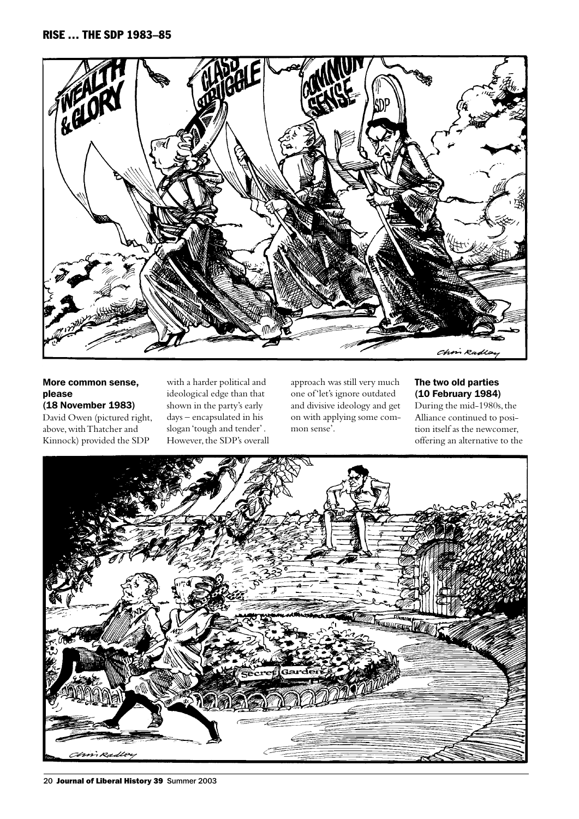

# More common sense, please

(18 November 1983) David Owen (pictured right, above, with Thatcher and Kinnock) provided the SDP

with a harder political and ideological edge than that shown in the party's early days – encapsulated in his slogan 'tough and tender' . However, the SDP's overall approach was still very much one of 'let's ignore outdated and divisive ideology and get on with applying some common sense'.

# The two old parties (10 February 1984)

During the mid-1980s, the Alliance continued to position itself as the newcomer, offering an alternative to the

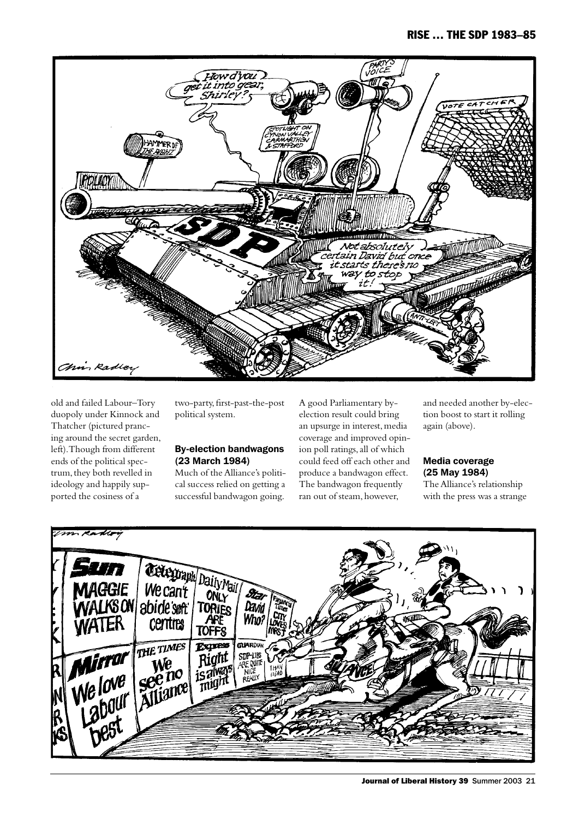

old and failed Labour–Tory duopoly under Kinnock and Thatcher (pictured prancing around the secret garden, left). Though from different ends of the political spectrum, they both revelled in ideology and happily supported the cosiness of a

two-party, first-past-the-post political system.

#### By-election bandwagons (23 March 1984)

Much of the Alliance's political success relied on getting a successful bandwagon going. A good Parliamentary byelection result could bring an upsurge in interest, media coverage and improved opinion poll ratings, all of which could feed off each other and produce a bandwagon effect. The bandwagon frequently ran out of steam, however,

and needed another by-election boost to start it rolling again (above).

# Media coverage (25 May 1984)

The Alliance's relationship with the press was a strange

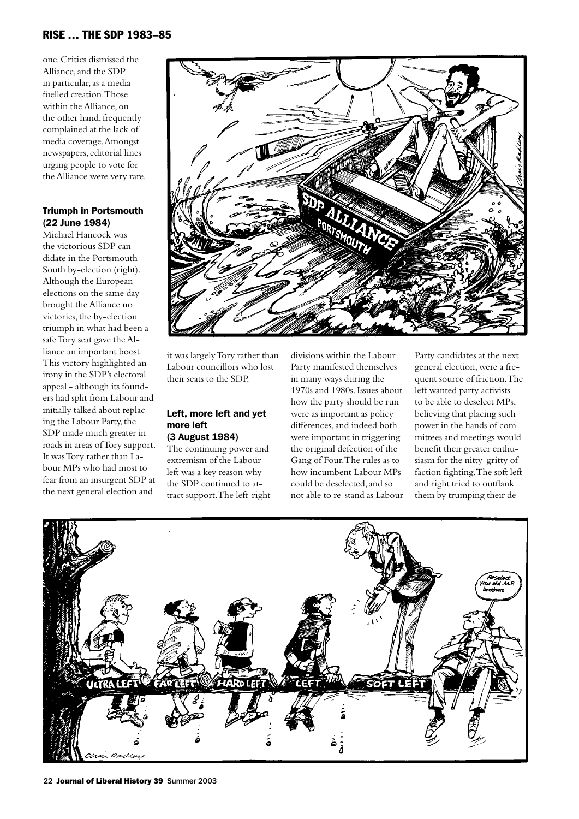one. Critics dismissed the Alliance, and the SDP in particular, as a mediafuelled creation. Those within the Alliance, on the other hand, frequently complained at the lack of media coverage. Amongst newspapers, editorial lines urging people to vote for the Alliance were very rare.

# Triumph in Portsmouth (22 June 1984)

Michael Hancock was the victorious SDP candidate in the Portsmouth South by-election (right). Although the European elections on the same day brought the Alliance no victories, the by-election triumph in what had been a safe Tory seat gave the Alliance an important boost. This victory highlighted an irony in the SDP's electoral appeal - although its founders had split from Labour and initially talked about replacing the Labour Party, the SDP made much greater inroads in areas of Tory support. It was Tory rather than Labour MPs who had most to fear from an insurgent SDP at the next general election and



it was largely Tory rather than Labour councillors who lost their seats to the SDP.

# Left, more left and yet more left (3 August 1984)

The continuing power and extremism of the Labour left was a key reason why the SDP continued to attract support. The left-right

divisions within the Labour Party manifested themselves in many ways during the 1970s and 1980s. Issues about how the party should be run were as important as policy differences, and indeed both were important in triggering the original defection of the Gang of Four. The rules as to how incumbent Labour MPs could be deselected, and so not able to re-stand as Labour Party candidates at the next general election, were a frequent source of friction. The left wanted party activists to be able to deselect MPs, believing that placing such power in the hands of committees and meetings would benefit their greater enthusiasm for the nitty-gritty of faction fighting. The soft left and right tried to outflank them by trumping their de-

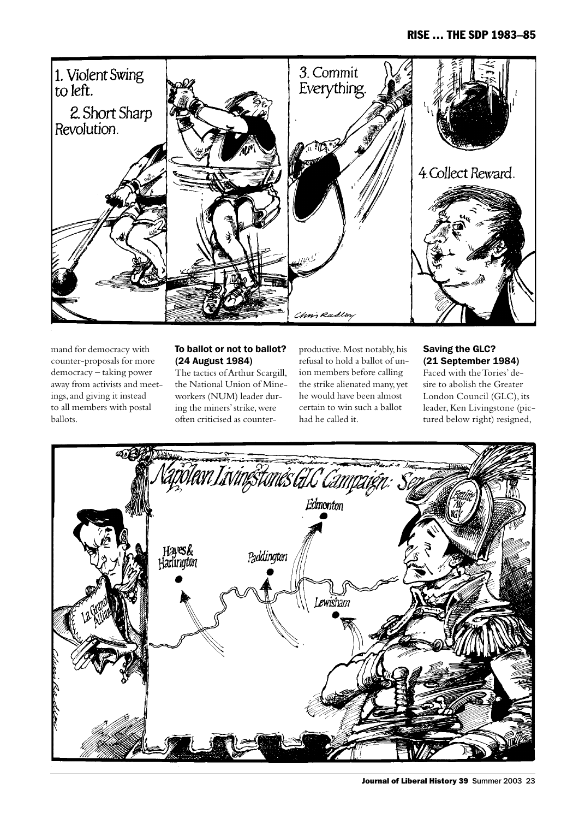

mand for democracy with counter-proposals for more democracy – taking power away from activists and meetings, and giving it instead to all members with postal ballots.

# To ballot or not to ballot? (24 August 1984)

The tactics of Arthur Scargill, the National Union of Mineworkers (NUM) leader during the miners' strike, were often criticised as counterproductive. Most notably, his refusal to hold a ballot of union members before calling the strike alienated many, yet he would have been almost certain to win such a ballot had he called it.

# Saving the GLC? (21 September 1984)

Faced with the Tories' desire to abolish the Greater London Council (GLC), its leader, Ken Livingstone (pictured below right) resigned,

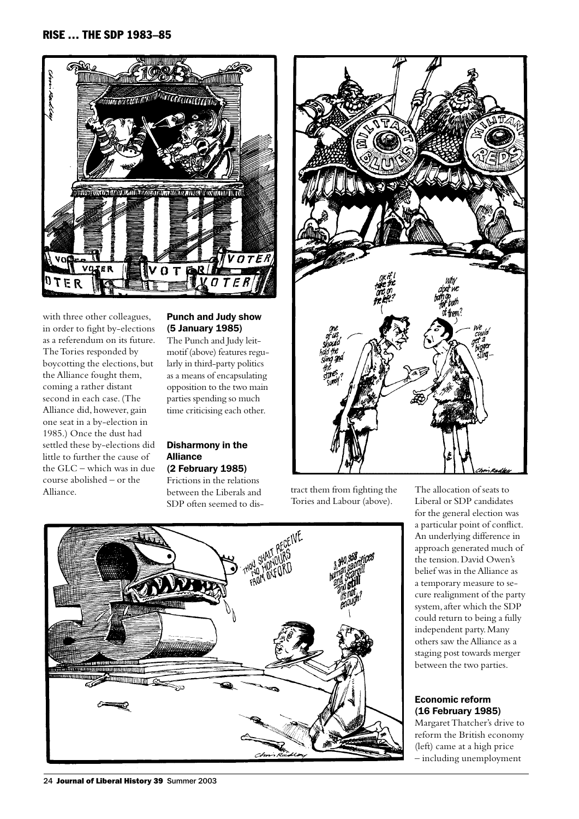

with three other colleagues, in order to fight by-elections as a referendum on its future. The Tories responded by boycotting the elections, but the Alliance fought them, coming a rather distant second in each case. (The Alliance did, however, gain one seat in a by-election in 1985.) Once the dust had settled these by-elections did little to further the cause of the GLC – which was in due course abolished – or the Alliance. between the Liberals and tract them from fighting the The allocation of seats to

# Punch and Judy show (5 January 1985)

The Punch and Judy leitmotif (above) features regularly in third-party politics as a means of encapsulating opposition to the two main parties spending so much time criticising each other.

#### Disharmony in the Alliance (2 February 1985)

Frictions in the relations between the Liberals and SDP often seemed to dis-



Tories and Labour (above).

Liberal or SDP candidates for the general election was a particular point of conflict. An underlying difference in approach generated much of the tension. David Owen's belief was in the Alliance as a temporary measure to secure realignment of the party system, after which the SDP could return to being a fully independent party. Many others saw the Alliance as a staging post towards merger between the two parties.

# Economic reform (16 February 1985)

Margaret Thatcher's drive to reform the British economy (left) came at a high price – including unemployment